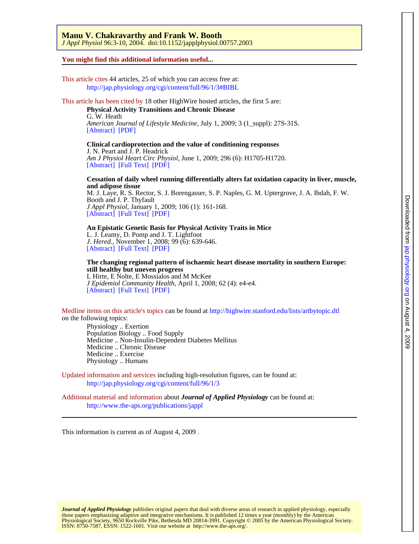# **Manu V. Chakravarthy and Frank W. Booth**

*J Appl Physiol* 96:3-10, 2004. doi:10.1152/japplphysiol.00757.2003

#### **You might find this additional information useful...**

This article cites 44 articles, 25 of which you can access free at: <http://jap.physiology.org/cgi/content/full/96/1/3#BIBL>

#### This article has been cited by 18 other HighWire hosted articles, the first 5 are:

[\[Abstract\]](http://ajl.sagepub.com/cgi/content/abstract/3/1_suppl/27S) [\[PDF\]](http://ajl.sagepub.com/cgi/reprint/3/1_suppl/27S) *American Journal of Lifestyle Medicine*, July 1, 2009; 3 (1\_suppl): 27S-31S. G. W. Heath **Physical Activity Transitions and Chronic Disease**

[\[Abstract\]](http://ajpheart.physiology.org/cgi/content/abstract/296/6/H1705) [\[Full Text\]](http://ajpheart.physiology.org/cgi/content/full/296/6/H1705) [\[PDF\]](http://ajpheart.physiology.org/cgi/reprint/296/6/H1705) *Am J Physiol Heart Circ Physiol*, June 1, 2009; 296 (6): H1705-H1720. J. N. Peart and  $\hat{J}$ . P. Headrick **Clinical cardioprotection and the value of conditioning responses**

#### **and adipose tissue Cessation of daily wheel running differentially alters fat oxidation capacity in liver, muscle,**

[\[Abstract\]](http://jap.physiology.org/cgi/content/abstract/106/1/161) [\[Full Text\]](http://jap.physiology.org/cgi/content/full/106/1/161) [\[PDF\]](http://jap.physiology.org/cgi/reprint/106/1/161) *J Appl Physiol*, January 1, 2009; 106 (1): 161-168. Booth and J. P. Thyfault M. J. Laye, R. S. Rector, S. J. Borengasser, S. P. Naples, G. M. Uptergrove, J. A. Ibdah, F. W.

#### **An Epistatic Genetic Basis for Physical Activity Traits in Mice**

[\[Abstract\]](http://jhered.oxfordjournals.org/cgi/content/abstract/99/6/639) [\[Full Text\]](http://jhered.oxfordjournals.org/cgi/content/full/99/6/639) [\[PDF\]](http://jhered.oxfordjournals.org/cgi/reprint/99/6/639) *J. Hered.*, November 1, 2008; 99 (6): 639-646. L. J. Leamy, D. Pomp and J. T. Lightfoot

**still healthy but uneven progress The changing regional pattern of ischaemic heart disease mortality in southern Europe:**

[\[Abstract\]](http://jech.bmjjournals.com/cgi/content/abstract/62/4/e4) [\[Full Text\]](http://jech.bmjjournals.com/cgi/content/full/62/4/e4) [\[PDF\]](http://jech.bmjjournals.com/cgi/reprint/62/4/e4) *J Epidemiol Community Health*, April 1, 2008; 62 (4): e4-e4. L Hirte, E Nolte, E Mossialos and M McKee

on the following topics: Medline items on this article's topics can be found at<http://highwire.stanford.edu/lists/artbytopic.dtl>

Physiology .. Humans Medicine .. Exercise Medicine .. Chronic Disease Medicine .. Non-Insulin-Dependent Diabetes Mellitus Population Biology .. Food Supply Physiology .. Exertion

Updated information and services including high-resolution figures, can be found at: <http://jap.physiology.org/cgi/content/full/96/1/3>

Additional material and information about *Journal of Applied Physiology* can be found at: <http://www.the-aps.org/publications/jappl>

This information is current as of August 4, 2009 .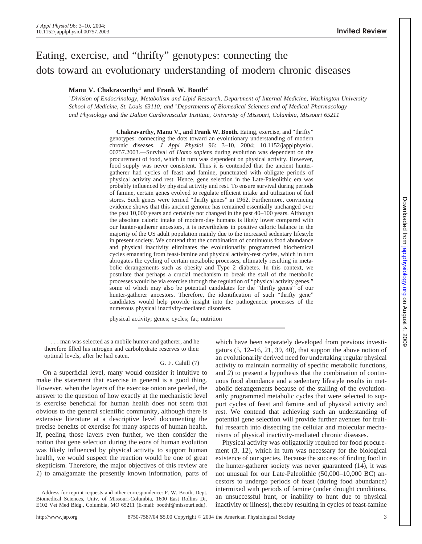# Eating, exercise, and "thrifty" genotypes: connecting the dots toward an evolutionary understanding of modern chronic diseases

# **Manu V. Chakravarthy1 and Frank W. Booth2**

1 *Division of Endocrinology, Metabolism and Lipid Research, Department of Internal Medicine, Washington University School of Medicine, St. Louis 63110; and* <sup>2</sup> *Departments of Biomedical Sciences and of Medical Pharmacology and Physiology and the Dalton Cardiovascular Institute, University of Missouri, Columbia, Missouri 65211*

> **Chakravarthy, Manu V., and Frank W. Booth.** Eating, exercise, and "thrifty" genotypes: connecting the dots toward an evolutionary understanding of modern chronic diseases. *J Appl Physiol* 96: 3–10, 2004; 10.1152/japplphysiol. 00757.2003.—Survival of *Homo sapiens* during evolution was dependent on the procurement of food, which in turn was dependent on physical activity. However, food supply was never consistent. Thus it is contended that the ancient huntergatherer had cycles of feast and famine, punctuated with obligate periods of physical activity and rest. Hence, gene selection in the Late-Paleolithic era was probably influenced by physical activity and rest. To ensure survival during periods of famine, certain genes evolved to regulate efficient intake and utilization of fuel stores. Such genes were termed "thrifty genes" in 1962. Furthermore, convincing evidence shows that this ancient genome has remained essentially unchanged over the past 10,000 years and certainly not changed in the past 40–100 years. Although the absolute caloric intake of modern-day humans is likely lower compared with our hunter-gatherer ancestors, it is nevertheless in positive caloric balance in the majority of the US adult population mainly due to the increased sedentary lifestyle in present society. We contend that the combination of continuous food abundance and physical inactivity eliminates the evolutionarily programmed biochemical cycles emanating from feast-famine and physical activity-rest cycles, which in turn abrogates the cycling of certain metabolic processes, ultimately resulting in metabolic derangements such as obesity and Type 2 diabetes. In this context, we postulate that perhaps a crucial mechanism to break the stall of the metabolic processes would be via exercise through the regulation of "physical activity genes," some of which may also be potential candidates for the "thrifty genes" of our hunter-gatherer ancestors. Therefore, the identification of such "thrifty gene" candidates would help provide insight into the pathogenetic processes of the numerous physical inactivity-mediated disorders.

physical activity; genes; cycles; fat; nutrition

. . . man was selected as a mobile hunter and gatherer, and he therefore filled his nitrogen and carbohydrate reserves to their optimal levels, after he had eaten.

#### G. F. Cahill (7)

On a superficial level, many would consider it intuitive to make the statement that exercise in general is a good thing. However, when the layers of the exercise onion are peeled, the answer to the question of how exactly at the mechanistic level is exercise beneficial for human health does not seem that obvious to the general scientific community, although there is extensive literature at a descriptive level documenting the precise benefits of exercise for many aspects of human health. If, peeling those layers even further, we then consider the notion that gene selection during the eons of human evolution was likely influenced by physical activity to support human health, we would suspect the reaction would be one of great skepticism. Therefore, the major objectives of this review are *1*) to amalgamate the presently known information, parts of

which have been separately developed from previous investigators (5, 12–16, 21, 39, 40), that support the above notion of an evolutionarily derived need for undertaking regular physical activity to maintain normality of specific metabolic functions, and *2*) to present a hypothesis that the combination of continuous food abundance and a sedentary lifestyle results in metabolic derangements because of the stalling of the evolutionarily programmed metabolic cycles that were selected to support cycles of feast and famine and of physical activity and rest. We contend that achieving such an understanding of potential gene selection will provide further avenues for fruitful research into dissecting the cellular and molecular mechanisms of physical inactivity-mediated chronic diseases.

Physical activity was obligatorily required for food procurement (3, 12), which in turn was necessary for the biological existence of our species. Because the success of finding food in the hunter-gatherer society was never guaranteed (14), it was not unusual for our Late-Paleolithic (50,000–10,000 BC) ancestors to undergo periods of feast (during food abundance) intermixed with periods of famine (under drought conditions, an unsuccessful hunt, or inability to hunt due to physical inactivity or illness), thereby resulting in cycles of feast-famine

Address for reprint requests and other correspondence: F. W. Booth, Dept. Biomedical Sciences, Univ. of Missouri-Columbia, 1600 East Rollins Dr, E102 Vet Med Bldg., Columbia, MO 65211 (E-mail: boothf@missouri.edu).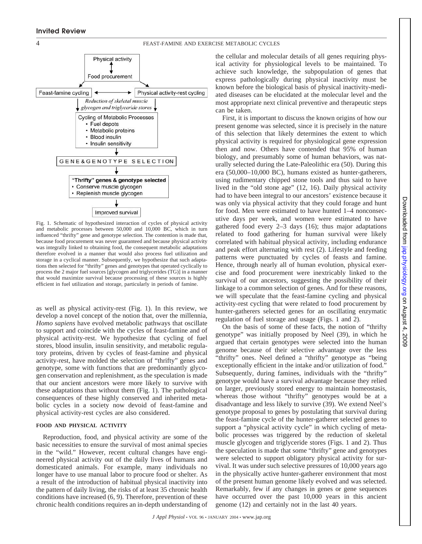

Fig. 1. Schematic of hypothesized interaction of cycles of physical activity and metabolic processes between 50,000 and 10,000 BC, which in turn influenced "thrifty" gene and genotype selection. The contention is made that, because food procurement was never guaranteed and because physical activity was integrally linked to obtaining food, the consequent metabolic adaptations therefore evolved in a manner that would also process fuel utilization and storage in a cyclical manner. Subsequently, we hypothesize that such adaptations then selected for "thrifty" genes and genotypes that operated cyclically to process the 2 major fuel sources [glycogen and triglycerides (TG)] in a manner that would maximize survival because processing of these sources is highly efficient in fuel utilization and storage, particularly in periods of famine.

as well as physical activity-rest (Fig. 1). In this review, we develop a novel concept of the notion that, over the millennia, *Homo sapiens* have evolved metabolic pathways that oscillate to support and coincide with the cycles of feast-famine and of physical activity-rest. We hypothesize that cycling of fuel stores, blood insulin, insulin sensitivity, and metabolic regulatory proteins, driven by cycles of feast-famine and physical activity-rest, have molded the selection of "thrifty" genes and genotype, some with functions that are predominantly glycogen conservation and replenishment, as the speculation is made that our ancient ancestors were more likely to survive with these adaptations than without them (Fig. 1). The pathological consequences of these highly conserved and inherited metabolic cycles in a society now devoid of feast-famine and physical activity-rest cycles are also considered.

#### **FOOD AND PHYSICAL ACTIVITY**

Reproduction, food, and physical activity are some of the basic necessities to ensure the survival of most animal species in the "wild." However, recent cultural changes have engineered physical activity out of the daily lives of humans and domesticated animals. For example, many individuals no longer have to use manual labor to procure food or shelter. As a result of the introduction of habitual physical inactivity into the pattern of daily living, the risks of at least 35 chronic health conditions have increased (6, 9). Therefore, prevention of these chronic health conditions requires an in-depth understanding of the cellular and molecular details of all genes requiring physical activity for physiological levels to be maintained. To achieve such knowledge, the subpopulation of genes that express pathologically during physical inactivity must be known before the biological basis of physical inactivity-mediated diseases can be elucidated at the molecular level and the most appropriate next clinical preventive and therapeutic steps can be taken.

First, it is important to discuss the known origins of how our present genome was selected, since it is precisely in the nature of this selection that likely determines the extent to which physical activity is required for physiological gene expression then and now. Others have contended that 95% of human biology, and presumably some of human behaviors, was naturally selected during the Late-Paleolithic era (50). During this era (50,000–10,000 BC), humans existed as hunter-gatherers, using rudimentary chipped stone tools and thus said to have lived in the "old stone age" (12, 16). Daily physical activity had to have been integral to our ancestors' existence because it was only via physical activity that they could forage and hunt for food. Men were estimated to have hunted 1–4 nonconsecutive days per week, and women were estimated to have gathered food every 2–3 days (16); thus major adaptations related to food gathering for human survival were likely correlated with habitual physical activity, including endurance and peak effort alternating with rest (2). Lifestyle and feeding patterns were punctuated by cycles of feasts and famine. Hence, through nearly all of human evolution, physical exercise and food procurement were inextricably linked to the survival of our ancestors, suggesting the possibility of their linkage to a common selection of genes. And for these reasons, we will speculate that the feast-famine cycling and physical activity-rest cycling that were related to food procurement by hunter-gatherers selected genes for an oscillating enzymatic regulation of fuel storage and usage (Figs. 1 and 2).

On the basis of some of these facts, the notion of "thrifty genotype" was initially proposed by Neel (39), in which he argued that certain genotypes were selected into the human genome because of their selective advantage over the less "thrifty" ones. Neel defined a "thrifty" genotype as "being exceptionally efficient in the intake and/or utilization of food." Subsequently, during famines, individuals with the "thrifty" genotype would have a survival advantage because they relied on larger, previously stored energy to maintain homeostasis, whereas those without "thrifty" genotypes would be at a disadvantage and less likely to survive (39). We extend Neel's genotype proposal to genes by postulating that survival during the feast-famine cycle of the hunter-gatherer selected genes to support a "physical activity cycle" in which cycling of metabolic processes was triggered by the reduction of skeletal muscle glycogen and triglyceride stores (Figs. 1 and 2). Thus the speculation is made that some "thrifty" gene and genotypes were selected to support obligatory physical activity for survival. It was under such selective pressures of 10,000 years ago in the physically active hunter-gatherer environment that most of the present human genome likely evolved and was selected. Remarkably, few if any changes in genes or gene sequences have occurred over the past 10,000 years in this ancient genome (12) and certainly not in the last 40 years.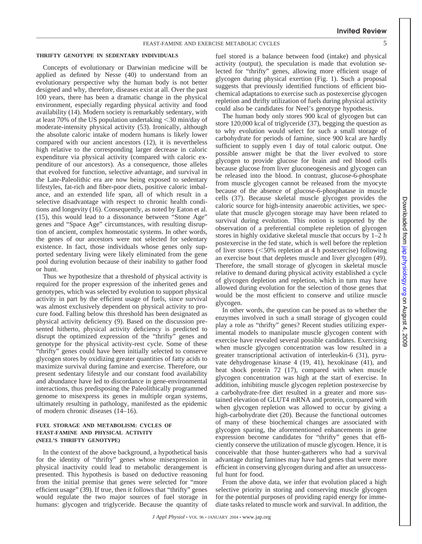#### **THRIFTY GENOTYPE IN SEDENTARY INDIVIDUALS**

Concepts of evolutionary or Darwinian medicine will be applied as defined by Nesse (40) to understand from an evolutionary perspective why the human body is not better designed and why, therefore, diseases exist at all. Over the past 100 years, there has been a dramatic change in the physical environment, especially regarding physical activity and food availability (14). Modern society is remarkably sedentary, with at least 70% of the US population undertaking  $\leq$ 30 min/day of moderate-intensity physical activity (53). Ironically, although the absolute caloric intake of modern humans is likely lower compared with our ancient ancestors (12), it is nevertheless high relative to the corresponding larger decrease in caloric expenditure via physical activity (compared with caloric expenditure of our ancestors). As a consequence, those alleles that evolved for function, selective advantage, and survival in the Late-Paleolithic era are now being exposed to sedentary lifestyles, fat-rich and fiber-poor diets, positive caloric imbalance, and an extended life span, all of which result in a selective disadvantage with respect to chronic health conditions and longevity (16). Consequently, as noted by Eaton et al. (15), this would lead to a dissonance between "Stone Age" genes and "Space Age" circumstances, with resulting disruption of ancient, complex homeostatic systems. In other words, the genes of our ancestors were not selected for sedentary existence. In fact, those individuals whose genes only supported sedentary living were likely eliminated from the gene pool during evolution because of their inability to gather food or hunt.

Thus we hypothesize that a threshold of physical activity is required for the proper expression of the inherited genes and genotypes, which was selected by evolution to support physical activity in part by the efficient usage of fuels, since survival was almost exclusively dependent on physical activity to procure food. Falling below this threshold has been designated as physical activity deficiency (9). Based on the discussion presented hitherto, physical activity deficiency is predicted to disrupt the optimized expression of the "thrifty" genes and genotype for the physical activity-rest cycle. Some of these "thrifty" genes could have been initially selected to conserve glycogen stores by oxidizing greater quantities of fatty acids to maximize survival during famine and exercise. Therefore, our present sedentary lifestyle and our constant food availability and abundance have led to discordance in gene-environmental interactions, thus predisposing the Paleolithically programmed genome to misexpress its genes in multiple organ systems, ultimately resulting in pathology, manifested as the epidemic of modern chronic diseases (14–16).

#### **FUEL STORAGE AND METABOLISM: CYCLES OF FEAST-FAMINE AND PHYSICAL ACTIVITY (NEEL'S THRIFTY GENOTYPE)**

In the context of the above background, a hypothetical basis for the identity of "thrifty" genes whose misexpression in physical inactivity could lead to metabolic derangement is presented. This hypothesis is based on deductive reasoning from the initial premise that genes were selected for "more efficient usage" (39). If true, then it follows that "thrifty" genes would regulate the two major sources of fuel storage in humans: glycogen and triglyceride. Because the quantity of fuel stored is a balance between food (intake) and physical activity (output), the speculation is made that evolution selected for "thrifty" genes, allowing more efficient usage of glycogen during physical exertion (Fig. 1). Such a proposal suggests that previously identified functions of efficient biochemical adaptations to exercise such as postexercise glycogen repletion and thrifty utilization of fuels during physical activity could also be candidates for Neel's genotype hypothesis.

The human body only stores 900 kcal of glycogen but can store 120,000 kcal of triglyceride (37), begging the question as to why evolution would select for such a small storage of carbohydrate for periods of famine, since 900 kcal are hardly sufficient to supply even 1 day of total caloric output. One possible answer might be that the liver evolved to store glycogen to provide glucose for brain and red blood cells because glucose from liver gluconeogenesis and glycogen can be released into the blood. In contrast, glucose-6-phosphate from muscle glycogen cannot be released from the myocyte because of the absence of glucose-6-phosphatase in muscle cells (37). Because skeletal muscle glycogen provides the caloric source for high-intensity anaerobic activities, we speculate that muscle glycogen storage may have been related to survival during evolution. This notion is supported by the observation of a preferential complete repletion of glycogen stores in highly oxidative skeletal muscle that occurs by 1–2 h postexercise in the fed state, which is well before the repletion of liver stores  $\langle$  50% repletion at 4 h postexercise) following an exercise bout that depletes muscle and liver glycogen (49). Therefore, the small storage of glycogen in skeletal muscle relative to demand during physical activity established a cycle of glycogen depletion and repletion, which in turn may have allowed during evolution for the selection of those genes that would be the most efficient to conserve and utilize muscle glycogen.

In other words, the question can be posed as to whether the enzymes involved in such a small storage of glycogen could play a role as "thrifty" genes? Recent studies utilizing experimental models to manipulate muscle glycogen content with exercise have revealed several possible candidates. Exercising when muscle glycogen concentration was low resulted in a greater transcriptional activation of interleukin-6 (31), pyruvate dehydrogenase kinase 4 (19, 41), hexokinase (41), and heat shock protein 72 (17), compared with when muscle glycogen concentration was high at the start of exercise. In addition, inhibiting muscle glycogen repletion postexercise by a carbohydrate-free diet resulted in a greater and more sustained elevation of GLUT4 mRNA and protein, compared with when glycogen repletion was allowed to occur by giving a high-carbohydrate diet (20). Because the functional outcomes of many of these biochemical changes are associated with glycogen sparing, the aforementioned enhancements in gene expression become candidates for "thrifty" genes that efficiently conserve the utilization of muscle glycogen. Hence, it is conceivable that those hunter-gatherers who had a survival advantage during famines may have had genes that were more efficient in conserving glycogen during and after an unsuccessful hunt for food.

From the above data, we infer that evolution placed a high selective priority in storing and conserving muscle glycogen for the potential purposes of providing rapid energy for immediate tasks related to muscle work and survival. In addition, the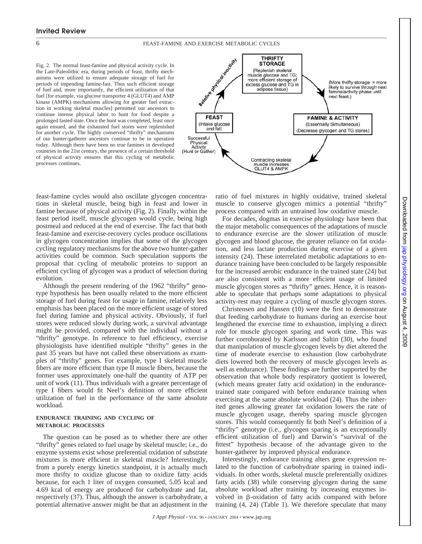Fig. 2. The normal feast-famine and physical activity cycle. In the Late-Paleolithic era, during periods of feast, thrifty mechanisms were utilized to ensure adequate storage of fuel for periods of impending famine-fast. Thus such efficient storage of fuel and, more importantly, the efficient utilization of that fuel [for example, via glucose transporter 4 (GLUT4) and AMP kinase (AMPK) mechanisms allowing for greater fuel extraction in working skeletal muscles] permitted our ancestors to continue intense physical labor to hunt for food despite a prolonged fasted state. Once the hunt was completed, feast once again ensued, and the exhausted fuel stores were replenished for another cycle. The highly conserved "thrifty" mechanisms of our hunter-gatherer ancestors continue to be in operation today. Although there have been no true famines in developed countries in the 21st century, the presence of a certain threshold of physical activity ensures that this cycling of metabolic processes continues.



feast-famine cycles would also oscillate glycogen concentrations in skeletal muscle, being high in feast and lower in famine because of physical activity (Fig. 2). Finally, within the feast period itself, muscle glycogen would cycle, being high postmeal and reduced at the end of exercise. The fact that both feast-famine and exercise-recovery cycles produce oscillations in glycogen concentration implies that some of the glycogen cycling regulatory mechanisms for the above two hunter-gather activities could be common. Such speculation supports the proposal that cycling of metabolic proteins to support an efficient cycling of glycogen was a product of selection during evolution.

Although the present rendering of the 1962 "thrifty" genotype hypothesis has been usually related to the more efficient storage of fuel during feast for usage in famine, relatively less emphasis has been placed on the more efficient usage of stored fuel during famine and physical activity. Obviously, if fuel stores were reduced slowly during work, a survival advantage might be provided, compared with the individual without a "thrifty" genotype. In reference to fuel efficiency, exercise physiologists have identified multiple "thrifty" genes in the past 35 years but have not called these observations as examples of "thrifty" genes. For example, type I skeletal muscle fibers are more efficient than type II muscle fibers, because the former uses approximately one-half the quantity of ATP per unit of work (11). Thus individuals with a greater percentage of type I fibers would fit Neel's definition of more efficient utilization of fuel in the performance of the same absolute workload.

#### **ENDURANCE TRAINING AND CYCLING OF METABOLIC PROCESSES**

The question can be posed as to whether there are other "thrifty" genes related to fuel usage by skeletal muscle; i.e., do enzyme systems exist whose preferential oxidation of substrate mixtures is more efficient in skeletal muscle? Interestingly, from a purely energy kinetics standpoint, it is actually much more thrifty to oxidize glucose than to oxidize fatty acids because, for each 1 liter of oxygen consumed, 5.05 kcal and 4.69 kcal of energy are produced for carbohydrate and fat, respectively (37). Thus, although the answer is carbohydrate, a potential alternative answer might be that an adjustment in the ratio of fuel mixtures in highly oxidative, trained skeletal muscle to conserve glycogen mimics a potential "thrifty" process compared with an untrained low oxidative muscle.

For decades, dogmas in exercise physiology have been that the major metabolic consequences of the adaptations of muscle to endurance exercise are the slower utilization of muscle glycogen and blood glucose, the greater reliance on fat oxidation, and less lactate production during exercise of a given intensity (24). These interrelated metabolic adaptations to endurance training have been concluded to be largely responsible for the increased aerobic endurance in the trained state (24) but are also consistent with a more efficient usage of limited muscle glycogen stores as "thrifty" genes. Hence, it is reasonable to speculate that perhaps some adaptations to physical activity-rest may require a cycling of muscle glycogen stores.

Christensen and Hansen (10) were the first to demonstrate that feeding carbohydrate to humans during an exercise bout lengthened the exercise time to exhaustion, implying a direct role for muscle glycogen sparing and work time. This was further corroborated by Karlsson and Saltin (30), who found that manipulation of muscle glycogen levels by diet altered the time of moderate exercise to exhaustion (low carbohydrate diets lowered both the recovery of muscle glycogen levels as well as endurance). These findings are further supported by the observation that whole body respiratory quotient is lowered, (which means greater fatty acid oxidation) in the endurancetrained state compared with before endurance training when exercising at the same absolute workload (24). Thus the inherited genes allowing greater fat oxidation lowers the rate of muscle glycogen usage, thereby sparing muscle glycogen stores. This would consequently fit both Neel's definition of a "thrifty" genotype (i.e., glycogen sparing is an exceptionally efficient utilization of fuel) and Darwin's "survival of the fittest" hypothesis because of the advantage given to the hunter-gatherer by improved physical endurance.

Interestingly, endurance training alters gene expression related to the function of carbohydrate sparing in trained individuals. In other words, skeletal muscle preferentially oxidizes fatty acids (38) while conserving glycogen during the same absolute workload after training by increasing enzymes involved in  $\beta$ -oxidation of fatty acids compared with before training (4, 24) (Table 1). We therefore speculate that many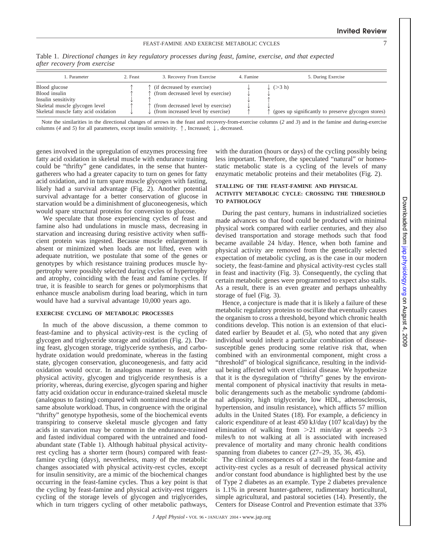| . Parameter                          | 2. Feast | 3. Recovery From Exercise            | 4. Famine | 5. During Exercise                                             |
|--------------------------------------|----------|--------------------------------------|-----------|----------------------------------------------------------------|
| Blood glucose                        |          | f (if decreased by exercise)         |           | L > 3 h                                                        |
| Blood insulin                        |          | f (from decreased level by exercise) |           |                                                                |
| Insulin sensitivity                  |          |                                      |           |                                                                |
| Skeletal muscle glycogen level       |          | (from decreased level by exercise)   |           |                                                                |
| Skeletal muscle fatty acid oxidation |          | (from increased level by exercise)   |           | $\uparrow$ (goes up significantly to preserve glycogen stores) |

Table 1. *Directional changes in key regulatory processes during feast, famine, exercise, and that expected after recovery from exercise*

Note the similarities in the directional changes of arrows in the feast and recovery-from-exercise columns (*2* and *3*) and in the famine and during-exercise columns (4 and 5) for all parameters, except insulin sensitivity.  $\uparrow$ , Increased;  $\downarrow$ , decreased.

genes involved in the upregulation of enzymes processing free fatty acid oxidation in skeletal muscle with endurance training could be "thrifty" gene candidates, in the sense that huntergatherers who had a greater capacity to turn on genes for fatty acid oxidation, and in turn spare muscle glycogen with fasting, likely had a survival advantage (Fig. 2). Another potential survival advantage for a better conservation of glucose in starvation would be a diminishment of gluconeogenesis, which would spare structural proteins for conversion to glucose.

We speculate that those experiencing cycles of feast and famine also had undulations in muscle mass, decreasing in starvation and increasing during resistive activity when sufficient protein was ingested. Because muscle enlargement is absent or minimized when loads are not lifted, even with adequate nutrition, we postulate that some of the genes or genotypes by which resistance training produces muscle hypertrophy were possibly selected during cycles of hypertrophy and atrophy, coinciding with the feast and famine cycles. If true, it is feasible to search for genes or polymorphisms that enhance muscle anabolism during load bearing, which in turn would have had a survival advantage 10,000 years ago.

#### **EXERCISE CYCLING OF METABOLIC PROCESSES**

In much of the above discussion, a theme common to feast-famine and to physical activity-rest is the cycling of glycogen and triglyceride storage and oxidation (Fig. 2). During feast, glycogen storage, triglyceride synthesis, and carbohydrate oxidation would predominate, whereas in the fasting state, glycogen conservation, gluconeogenesis, and fatty acid oxidation would occur. In analogous manner to feast, after physical activity, glycogen and triglyceride resynthesis is a priority, whereas, during exercise, glycogen sparing and higher fatty acid oxidation occur in endurance-trained skeletal muscle (analogous to fasting) compared with nontrained muscle at the same absolute workload. Thus, in congruence with the original "thrifty" genotype hypothesis, some of the biochemical events transpiring to conserve skeletal muscle glycogen and fatty acids in starvation may be common in the endurance-trained and fasted individual compared with the untrained and foodabundant state (Table 1). Although habitual physical activityrest cycling has a shorter term (hours) compared with feastfamine cycling (days), nevertheless, many of the metabolic changes associated with physical activity-rest cycles, except for insulin sensitivity, are a mimic of the biochemical changes occurring in the feast-famine cycles. Thus a key point is that the cycling by feast-famine and physical activity-rest triggers cycling of the storage levels of glycogen and triglycerides, which in turn triggers cycling of other metabolic pathways,

with the duration (hours or days) of the cycling possibly being less important. Therefore, the speculated "natural" or homeostatic metabolic state is a cycling of the levels of many enzymatic metabolic proteins and their metabolites (Fig. 2).

### **STALLING OF THE FEAST-FAMINE AND PHYSICAL ACTIVITY METABOLIC CYCLE: CROSSING THE THRESHOLD TO PATHOLOGY**

During the past century, humans in industrialized societies made advances so that food could be produced with minimal physical work compared with earlier centuries, and they also devised transportation and storage methods such that food became available 24 h/day. Hence, when both famine and physical activity are removed from the genetically selected expectation of metabolic cycling, as is the case in our modern society, the feast-famine and physical activity-rest cycles stall in feast and inactivity (Fig. 3). Consequently, the cycling that certain metabolic genes were programmed to expect also stalls. As a result, there is an even greater and perhaps unhealthy storage of fuel (Fig. 3).

Hence, a conjecture is made that it is likely a failure of these metabolic regulatory proteins to oscillate that eventually causes the organism to cross a threshold, beyond which chronic health conditions develop. This notion is an extension of that elucidated earlier by Beaudet et al. (5), who noted that any given individual would inherit a particular combination of diseasesusceptible genes producing some relative risk that, when combined with an environmental component, might cross a "threshold" of biological significance, resulting in the individual being affected with overt clinical disease. We hypothesize that it is the dysregulation of "thrifty" genes by the environmental component of physical inactivity that results in metabolic derangements such as the metabolic syndrome (abdominal adiposity, high triglyceride, low HDL, atherosclerosis, hypertension, and insulin resistance), which afflicts 57 million adults in the United States (18). For example, a deficiency in caloric expenditure of at least 450 kJ/day (107 kcal/day) by the elimination of walking from  $>21$  min/day at speeds  $>3$ miles/h to not walking at all is associated with increased prevalence of mortality and many chronic health conditions spanning from diabetes to cancer (27–29, 35, 36, 45).

The clinical consequences of a stall in the feast-famine and activity-rest cycles as a result of decreased physical activity and/or constant food abundance is highlighted best by the use of Type 2 diabetes as an example. Type 2 diabetes prevalence is 1.1% in present hunter-gatherer, rudimentary horticultural, simple agricultural, and pastoral societies (14). Presently, the Centers for Disease Control and Prevention estimate that 33%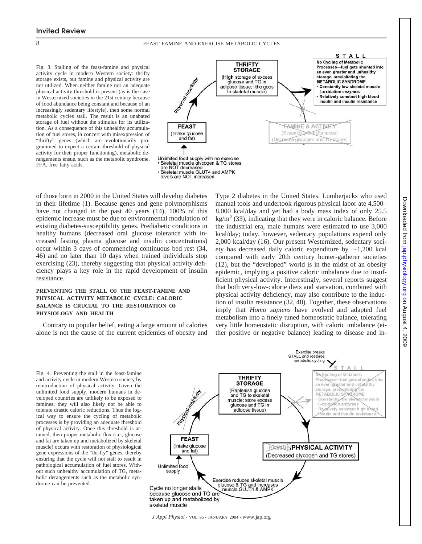Fig. 3. Stalling of the feast-famine and physical activity cycle in modern Western society: thrifty storage exists, but famine and physical activity are not utilized. When neither famine nor an adequate physical activity threshold is present (as is the case in Westernized societies in the 21st century because of food abundance being constant and because of an increasingly sedentary lifestyle), then some normal metabolic cycles stall. The result is an unabated storage of fuel without the stimulus for its utilization. As a consequence of this unhealthy accumulation of fuel stores, in concert with misexpression of "thrifty" genes (which are evolutionarily programmed to expect a certain threshold of physical activity for their proper functioning), metabolic derangements ensue, such as the metabolic syndrome. FFA, free fatty acids.



of those born in 2000 in the United States will develop diabetes in their lifetime (1). Because genes and gene polymorphisms have not changed in the past 40 years (14), 100% of this epidemic increase must be due to environmental modulation of existing diabetes-susceptibility genes. Prediabetic conditions in healthy humans (decreased oral glucose tolerance with increased fasting plasma glucose and insulin concentrations) occur within 3 days of commencing continuous bed rest (34, 46) and no later than 10 days when trained individuals stop exercising (23), thereby suggesting that physical activity deficiency plays a key role in the rapid development of insulin resistance.

#### **PREVENTING THE STALL OF THE FEAST-FAMINE AND PHYSICAL ACTIVITY METABOLIC CYCLE: CALORIC BALANCE IS CRUCIAL TO THE RESTORATION OF PHYSIOLOGY AND HEALTH**

Contrary to popular belief, eating a large amount of calories alone is not the cause of the current epidemics of obesity and

Fig. 4. Preventing the stall in the feast-famine and activity cycle in modern Western society by reintroduction of physical activity. Given the unlimited food supply, modern humans in developed countries are unlikely to be exposed to famines; they will also likely not be able to tolerate drastic caloric reductions. Thus the logical way to ensure the cycling of metabolic processes is by providing an adequate threshold of physical activity. Once this threshold is attained, then proper metabolic flux (i.e., glucose and fat are taken up and metabolized by skeletal muscle) occurs with restoration of physiological gene expressions of the "thrifty" genes, thereby ensuring that the cycle will not stall to result in pathological accumulation of fuel stores. Without such unhealthy accumulation of TG, metabolic derangements such as the metabolic syndrome can be prevented.

Type 2 diabetes in the United States. Lumberjacks who used manual tools and undertook rigorous physical labor ate 4,500– 8,000 kcal/day and yet had a body mass index of only 25.5  $kg/m<sup>2</sup>$  (33), indicating that they were in caloric balance. Before the industrial era, male humans were estimated to use 3,000 kcal/day; today, however, sedentary populations expend only 2,000 kcal/day (16). Our present Westernized, sedentary society has decreased daily caloric expenditure by  $\sim$ 1,200 kcal compared with early 20th century hunter-gatherer societies (12), but the "developed" world is in the midst of an obesity epidemic, implying a positive caloric imbalance due to insufficient physical activity. Interestingly, several reports suggest that both very-low-calorie diets and starvation, combined with physical activity deficiency, may also contribute to the induction of insulin resistance (32, 48). Together, these observations imply that *Homo sapiens* have evolved and adapted fuel metabolism into a finely tuned homeostatic balance, tolerating very little homeostatic disruption, with caloric imbalance (either positive or negative balance) leading to disease and in-

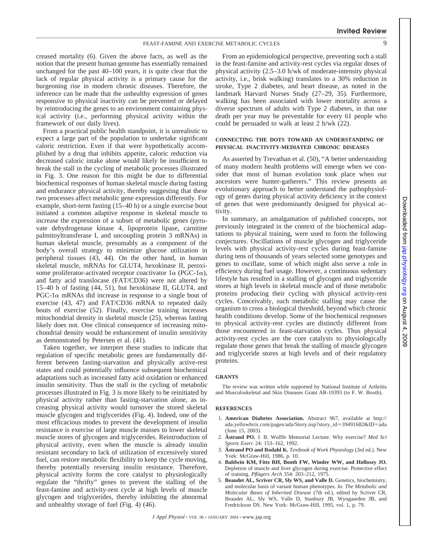creased mortality (6). Given the above facts, as well as the notion that the present human genome has essentially remained unchanged for the past 40–100 years, it is quite clear that the lack of regular physical activity is a primary cause for the burgeoning rise in modern chronic diseases. Therefore, the inference can be made that the unhealthy expression of genes responsive to physical inactivity can be prevented or delayed by reintroducing the genes to an environment containing physical activity (i.e., performing physical activity within the framework of our daily lives).

From a practical public health standpoint, it is unrealistic to expect a large part of the population to undertake significant caloric restriction. Even if that were hypothetically accomplished by a drug that inhibits appetite, caloric reduction via decreased caloric intake alone would likely be insufficient to break the stall in the cycling of metabolic processes illustrated in Fig. 3. One reason for this might be due to differential biochemical responses of human skeletal muscle during fasting and endurance physical activity, thereby suggesting that these two processes affect metabolic gene expression differently. For example, short-term fasting (15–40 h) or a single exercise bout initiated a common adaptive response in skeletal muscle to increase the expression of a subset of metabolic genes (pyruvate dehydrogenase kinase 4, lipoprotein lipase, carnitine palmitoyltransferase I, and uncoupling protein 3 mRNAs) in human skeletal muscle, presumably as a component of the body's overall strategy to minimize glucose utilization in peripheral tissues (43, 44). On the other hand, in human skeletal muscle, mRNAs for GLUT4, hexokinase II, peroxisome proliferator-activated receptor coactivator  $1\alpha$  (PGC-1 $\alpha$ ), and fatty acid translocase (FAT/CD36) were not altered by 15–40 h of fasting (44, 51), but hexokinase II, GLUT4, and PGC-1 $\alpha$  mRNAs did increase in response to a single bout of exercise (43, 47) and FAT/CD36 mRNA to repeated daily bouts of exercise (52). Finally, exercise training increases mitochondrial density in skeletal muscle (25), whereas fasting likely does not. One clinical consequence of increasing mitochondrial density would be enhancement of insulin sensitivity as demonstrated by Petersen et al. (41).

Taken together, we interpret these studies to indicate that regulation of specific metabolic genes are fundamentally different between fasting-starvation and physically active-rest states and could potentially influence subsequent biochemical adaptations such as increased fatty acid oxidation or enhanced insulin sensitivity. Thus the stall in the cycling of metabolic processes illustrated in Fig. 3 is more likely to be reinitiated by physical activity rather than fasting-starvation alone, as increasing physical activity would turnover the stored skeletal muscle glycogen and triglycerides (Fig. 4). Indeed, one of the most efficacious modes to prevent the development of insulin resistance is exercise of large muscle masses to lower skeletal muscle stores of glycogen and triglycerides. Reintroduction of physical activity, even when the muscle is already insulin resistant secondary to lack of utilization of excessively stored fuel, can restore metabolic flexibility to keep the cycle moving, thereby potentially reversing insulin resistance. Therefore, physical activity forms the core catalyst to physiologically regulate the "thrifty" genes to prevent the stalling of the feast-famine and activity-rest cycle at high levels of muscle glycogen and triglycerides, thereby inhibiting the abnormal and unhealthy storage of fuel (Fig. 4) (46).

From an epidemiological perspective, preventing such a stall in the feast-famine and activity-rest cycles via regular doses of physical activity (2.5–3.0 h/wk of moderate-intensity physical activity, i.e., brisk walking) translates to a 30% reduction in stroke, Type 2 diabetes, and heart disease, as noted in the landmark Harvard Nurses Study (27–29, 35). Furthermore, walking has been associated with lower mortality across a diverse spectrum of adults with Type 2 diabetes, in that one death per year may be preventable for every 61 people who could be persuaded to walk at least 2 h/wk (22).

#### **CONNECTING THE DOTS TOWARD AN UNDERSTANDING OF PHYSICAL INACTIVITY-MEDIATED CHRONIC DISEASES**

As asserted by Trevathan et al. (50), "A better understanding of many modern health problems will emerge when we consider that most of human evolution took place when our ancestors were hunter-gatherers." This review presents an evolutionary approach to better understand the pathophysiology of genes during physical activity deficiency in the context of genes that were predominantly designed for physical activity.

In summary, an amalgamation of published concepts, not previously integrated in the context of the biochemical adaptations to physical training, were used to form the following conjectures. Oscillations of muscle glycogen and triglyceride levels with physical activity-rest cycles during feast-famine during tens of thousands of years selected some genotypes and genes to oscillate, some of which might also serve a role in efficiency during fuel usage. However, a continuous sedentary lifestyle has resulted in a stalling of glycogen and triglyceride stores at high levels in skeletal muscle and of those metabolic proteins producing their cycling with physical activity-rest cycles. Conceivably, such metabolic stalling may cause the organism to cross a biological threshold, beyond which chronic health conditions develop. Some of the biochemical responses to physical activity-rest cycles are distinctly different from those encountered in feast-starvation cycles. Thus physical activity-rest cycles are the core catalysts to physiologically regulate those genes that break the stalling of muscle glycogen and triglyceride stores at high levels and of their regulatory proteins.

#### **GRANTS**

The review was written while supported by National Institute of Arthritis and Musculoskeletal and Skin Diseases Grant AR-19393 (to F. W. Booth).

#### **REFERENCES**

- 1. **American Diabetes Association.** Abstract 967, available at http:// ada.yellowbrix.com/pages/ada/Story.nsp?story\_id=39491682&ID=ada (June 15, 2003).
- 2. **Åstrand PO.** J. B. Wolffe Memorial Lecture. Why exercise? Med Sci *Sports Exerc* 24: 153–162, 1992.
- 3. **Astrand PO and Rodahl K.** *Textbook of Work Physiology* (3rd ed.). New York: McGraw-Hill, 1986, p. 10.
- 4. **Baldwin KM, Fitts RH, Booth FW, Winder WW, and Holloszy JO.** Depletion of muscle and liver glycogen during exercise. Protective effect of training. *Pflügers Arch* 354: 203-212, 1975.
- 5. **Beaudet AL, Scriver CR, Sly WS, and Valle D.** Genetics, biochemistry, and molecular basis of variant human phenotypes. In: *The Metabolic and Molecular Bases of Inherited Disease* (7th ed.), edited by Scriver CR, Beaudet AL, Sly WS, Valle D, Stanbury JB, Wyngaarden JB, and Fredrickson DS. New York: McGraw-Hill, 1995, vol. 1, p. 79.